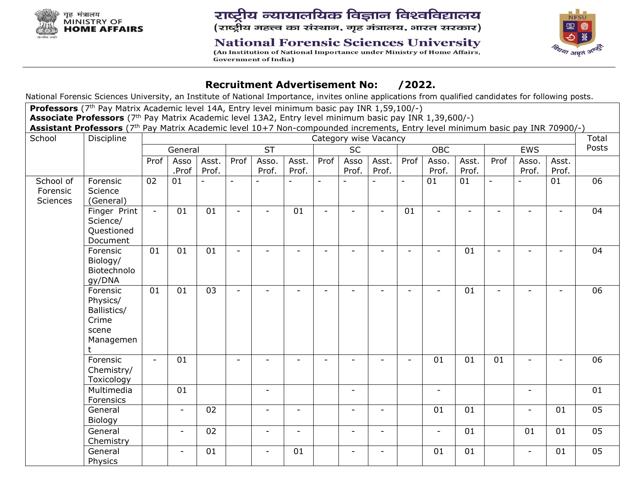

# राष्ट्रीय न्यायालयिक विज्ञान विश्वविद्यालय (राष्ट्रीय महत्त्व का संस्थान, गृह मंत्रालय, भारत सरकार)

## **National Forensic Sciences University**

(An Institution of National Importance under Ministry of Home Affairs, **Government of India)** 



### **Recruitment Advertisement No: /2022.**

National Forensic Sciences University, an Institute of National Importance, invites online applications from qualified candidates for following posts.

**Professors** (7<sup>th</sup> Pay Matrix Academic level 14A, Entry level minimum basic pay INR 1,59,100/-) **Associate Professors** (7th Pay Matrix Academic level 13A2, Entry level minimum basic pay INR 1,39,600/-) **Assistant Professors** (7th Pay Matrix Academic level 10+7 Non-compounded increments, Entry level minimum basic pay INR 70900/-)

| School                            | Discipline<br>Category wise Vacancy                                      |                          |                          |                 |                          |                          |                          |                          |                          |                          |                          | Total                    |                          |                          |                          |                          |       |
|-----------------------------------|--------------------------------------------------------------------------|--------------------------|--------------------------|-----------------|--------------------------|--------------------------|--------------------------|--------------------------|--------------------------|--------------------------|--------------------------|--------------------------|--------------------------|--------------------------|--------------------------|--------------------------|-------|
|                                   | General                                                                  |                          |                          |                 | <b>ST</b>                |                          |                          | <b>SC</b>                |                          |                          |                          | <b>OBC</b>               |                          | EWS                      |                          |                          | Posts |
|                                   |                                                                          | Prof                     | Asso<br>.Prof            | Asst.<br>Prof.  | Prof                     | Asso.<br>Prof.           | Asst.<br>Prof.           | Prof                     | Asso<br>Prof.            | Asst.<br>Prof.           | Prof                     | Asso.<br>Prof.           | Asst.<br>Prof.           | Prof                     | Asso.<br>Prof.           | Asst.<br>Prof.           |       |
| School of<br>Forensic<br>Sciences | Forensic<br>Science<br>(General)                                         | 02                       | 01                       |                 | $\overline{\phantom{a}}$ |                          |                          | $\overline{\phantom{a}}$ |                          |                          | $\overline{\phantom{a}}$ | 01                       | 01                       | $\overline{\phantom{a}}$ |                          | 01                       | 06    |
|                                   | Finger Print<br>Science/<br>Questioned<br>Document                       | $\sim$                   | 01                       | 01              | $\overline{\phantom{a}}$ | $\overline{\phantom{a}}$ | 01                       | $\overline{\phantom{0}}$ | $\overline{\phantom{0}}$ | $\sim$                   | 01                       | $\sim$                   | $\overline{\phantom{0}}$ | $\overline{a}$           |                          | $\overline{\phantom{0}}$ | 04    |
|                                   | Forensic<br>Biology/<br>Biotechnolo<br>gy/DNA                            | 01                       | 01                       | 01              | $\overline{\phantom{a}}$ | $\overline{\phantom{a}}$ | $\overline{\phantom{0}}$ | $\overline{\phantom{a}}$ | $\overline{\phantom{a}}$ | $\tilde{\phantom{a}}$    | $\overline{\phantom{a}}$ | $\overline{\phantom{0}}$ | 01                       | $\blacksquare$           | $\overline{\phantom{0}}$ | $\blacksquare$           | 04    |
|                                   | Forensic<br>Physics/<br>Ballistics/<br>Crime<br>scene<br>Managemen<br>t. | 01                       | 01                       | $\overline{03}$ | $\overline{\phantom{a}}$ | ۰                        | ÷.                       | $\overline{\phantom{a}}$ | $\overline{\phantom{0}}$ | $\overline{\phantom{0}}$ | $\overline{\phantom{a}}$ | $\overline{\phantom{0}}$ | 01                       | $\sim$                   | $\overline{\phantom{a}}$ | $\overline{\phantom{a}}$ | 06    |
|                                   | Forensic<br>Chemistry/<br>Toxicology                                     | $\overline{\phantom{0}}$ | 01                       |                 | $\overline{\phantom{a}}$ | -                        | $\overline{a}$           |                          |                          |                          | $\overline{\phantom{a}}$ | 01                       | 01                       | 01                       | $\overline{\phantom{a}}$ | $\blacksquare$           | 06    |
|                                   | Multimedia<br>Forensics                                                  |                          | 01                       |                 |                          | $\overline{\phantom{a}}$ |                          |                          | $\blacksquare$           |                          |                          | $\overline{\phantom{a}}$ |                          |                          | $\overline{\phantom{a}}$ |                          | 01    |
|                                   | General<br>Biology                                                       |                          | $\overline{\phantom{0}}$ | 02              |                          | $\overline{\phantom{a}}$ | $\overline{\phantom{0}}$ |                          | $\overline{\phantom{a}}$ | $\overline{a}$           |                          | 01                       | 01                       |                          | $\overline{\phantom{a}}$ | 01                       | 05    |
|                                   | General<br>Chemistry                                                     |                          | $\overline{\phantom{a}}$ | 02              |                          | $\overline{\phantom{a}}$ | $\blacksquare$           |                          | $\overline{\phantom{a}}$ | $\blacksquare$           |                          | $\overline{\phantom{a}}$ | 01                       |                          | 01                       | 01                       | 05    |
|                                   | General<br>Physics                                                       |                          | $\overline{\phantom{a}}$ | 01              |                          | $\overline{\phantom{a}}$ | 01                       |                          | $\overline{\phantom{a}}$ | $\overline{\phantom{a}}$ |                          | 01                       | 01                       |                          | $\overline{\phantom{a}}$ | 01                       | 05    |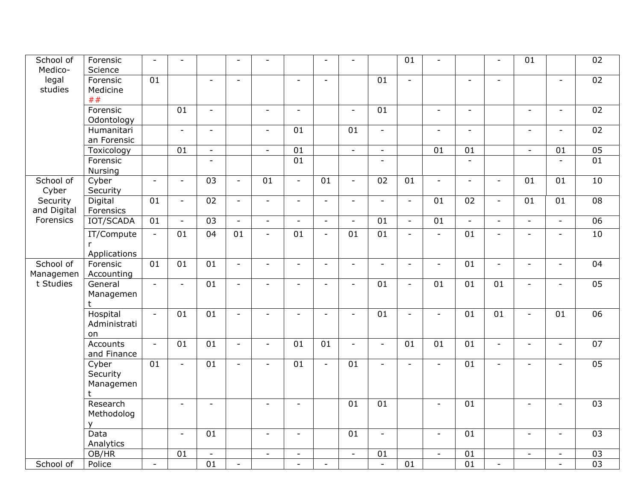| School of<br>Medico-    | Forensic<br>Science                    | $\overline{\phantom{a}}$ | $\overline{\phantom{a}}$ |                          | $\overline{\phantom{a}}$ | $\overline{\phantom{a}}$ |                          | $\blacksquare$           | $\blacksquare$           |                          | 01                       | $\overline{\phantom{a}}$ |                          | $\blacksquare$           | 01                       |                          | 02              |
|-------------------------|----------------------------------------|--------------------------|--------------------------|--------------------------|--------------------------|--------------------------|--------------------------|--------------------------|--------------------------|--------------------------|--------------------------|--------------------------|--------------------------|--------------------------|--------------------------|--------------------------|-----------------|
| legal<br>studies        | Forensic<br>Medicine<br>##             | 01                       |                          | $\overline{\phantom{a}}$ | $\overline{a}$           |                          | $\mathbf{r}$             | $\overline{a}$           |                          | 01                       | $\equiv$                 |                          | $\overline{a}$           | $\sim$                   |                          | $\mathbf{r}$             | 02              |
|                         | Forensic<br>Odontology                 |                          | 01                       | $\overline{\phantom{a}}$ |                          | $\overline{\phantom{a}}$ | $\overline{\phantom{a}}$ |                          | $\overline{\phantom{a}}$ | 01                       |                          | $\overline{\phantom{a}}$ | $\overline{\phantom{a}}$ |                          | $\overline{\phantom{a}}$ | $\overline{\phantom{a}}$ | 02              |
|                         | Humanitari<br>an Forensic              |                          | $\blacksquare$           | $\sim$                   |                          | $\overline{\phantom{a}}$ | 01                       |                          | 01                       | $\sim$                   |                          | $\sim$                   | $\blacksquare$           |                          | $\sim$                   | $\sim$                   | 02              |
|                         | Toxicology                             |                          | $\overline{01}$          | $\overline{\phantom{a}}$ |                          | $\overline{\phantom{a}}$ | $\overline{01}$          |                          | $\overline{\phantom{a}}$ | $\overline{\phantom{a}}$ |                          | 01                       | 01                       |                          | $\overline{\phantom{a}}$ | 01                       | 05              |
|                         | Forensic<br>Nursing                    |                          |                          | $\blacksquare$           |                          |                          | 01                       |                          |                          | $\sim$                   |                          |                          | $\sim$                   |                          |                          | $\mathbb{Z}^2$           | 01              |
| School of<br>Cyber      | Cyber<br>Security                      | $\blacksquare$           | $\sim$                   | $\overline{03}$          | $\sim$                   | $\overline{01}$          | $\blacksquare$           | 01                       | $\blacksquare$           | $\overline{02}$          | 01                       | $\overline{\phantom{a}}$ | $\blacksquare$           | $\overline{\phantom{a}}$ | 01                       | 01                       | 10              |
| Security<br>and Digital | Digital<br>Forensics                   | 01                       | $\overline{\phantom{a}}$ | 02                       | $\overline{\phantom{a}}$ | $\overline{\phantom{a}}$ | $\overline{\phantom{a}}$ | $\overline{\phantom{a}}$ | $\overline{\phantom{a}}$ | $\overline{\phantom{a}}$ | $\overline{\phantom{a}}$ | 01                       | 02                       | $\overline{\phantom{a}}$ | 01                       | 01                       | $\overline{08}$ |
| Forensics               | <b>IOT/SCADA</b>                       | 01                       |                          | 03                       | $\sim$                   | $\overline{\phantom{a}}$ | $\sim$                   |                          | $\blacksquare$           | 01                       | $\omega$                 | $\overline{01}$          |                          | $\overline{a}$           | $\overline{\phantom{0}}$ | $\overline{a}$           | 06              |
|                         | IT/Compute<br>r.                       | $\overline{\phantom{a}}$ | 01                       | 04                       | 01                       | $\overline{\phantom{a}}$ | 01                       | $\overline{\phantom{a}}$ | 01                       | 01                       | $\overline{\phantom{a}}$ | $\overline{\phantom{a}}$ | 01                       | $\overline{\phantom{a}}$ | $\overline{a}$           |                          | 10              |
| School of<br>Managemen  | Applications<br>Forensic<br>Accounting | 01                       | 01                       | 01                       | $\omega$                 | $\overline{\phantom{a}}$ | $\overline{\phantom{a}}$ | $\overline{\phantom{a}}$ | $\overline{\phantom{a}}$ | $\blacksquare$           | $\omega$                 | $\overline{\phantom{a}}$ | 01                       | $\blacksquare$           | $\overline{\phantom{a}}$ | $\overline{\phantom{0}}$ | 04              |
| t Studies               | General<br>Managemen<br>t              | $\blacksquare$           | $\overline{a}$           | 01                       | $\overline{\phantom{a}}$ | $\overline{\phantom{a}}$ | $\overline{\phantom{a}}$ | $\blacksquare$           | $\overline{\phantom{a}}$ | 01                       | $\overline{\phantom{a}}$ | 01                       | 01                       | 01                       | $\overline{\phantom{a}}$ | $\overline{\phantom{a}}$ | 05              |
|                         | Hospital<br>Administrati<br>on         | $\mathbb{L}$             | 01                       | 01                       | $\sim$                   | $\blacksquare$           | $\sim$                   | $\overline{a}$           | $\overline{\phantom{a}}$ | 01                       | $\sim$                   | $\sim$                   | 01                       | 01                       | $\overline{\phantom{a}}$ | 01                       | 06              |
|                         | Accounts<br>and Finance                | $\equiv$                 | 01                       | 01                       | $\overline{\phantom{a}}$ | $\overline{\phantom{a}}$ | 01                       | 01                       | $\overline{\phantom{a}}$ | $\overline{\phantom{a}}$ | 01                       | 01                       | 01                       | $\overline{\phantom{a}}$ | $\blacksquare$           | $\blacksquare$           | 07              |
|                         | Cyber<br>Security<br>Managemen<br>t    | 01                       | $\overline{\phantom{a}}$ | 01                       | $\sim$                   | $\blacksquare$           | 01                       | $\sim$                   | 01                       | $\overline{a}$           | $\sim$                   | $\overline{a}$           | 01                       | $\overline{a}$           |                          |                          | 05              |
|                         | Research<br>Methodolog<br>v            |                          | $\overline{a}$           | $\sim$                   |                          | $\overline{\phantom{a}}$ | $\overline{\phantom{a}}$ |                          | 01                       | 01                       |                          | $\overline{a}$           | 01                       |                          | $\overline{a}$           | $\overline{a}$           | 0 <sub>3</sub>  |
|                         | Data<br>Analytics                      |                          | $\overline{\phantom{a}}$ | 01                       |                          | $\overline{\phantom{a}}$ | $\overline{\phantom{a}}$ |                          | 01                       | $\sim$                   |                          | $\overline{\phantom{a}}$ | 01                       |                          | $\overline{\phantom{a}}$ | $\overline{\phantom{a}}$ | 0 <sub>3</sub>  |
|                         | OB/HR                                  |                          | 01                       | $\overline{\phantom{a}}$ |                          | $\overline{\phantom{a}}$ | $\overline{\phantom{a}}$ |                          | $\blacksquare$           | 01                       |                          | $\blacksquare$           | 01                       |                          | $\blacksquare$           | $\overline{a}$           | 03              |
| School of               | Police                                 | $\blacksquare$           |                          | $\overline{01}$          | $\overline{\phantom{a}}$ |                          | $\overline{\phantom{a}}$ | $\overline{\phantom{a}}$ |                          | $\overline{\phantom{a}}$ | $\overline{01}$          |                          | $\overline{01}$          | $\overline{\phantom{a}}$ |                          |                          | 03              |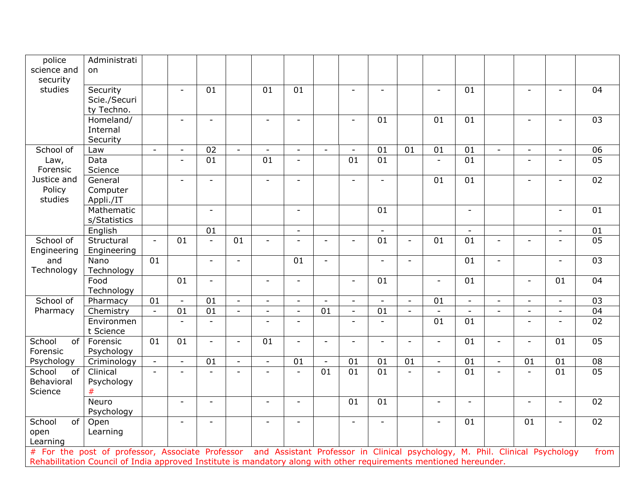| police                                | Administrati                                                                                                                                                           |                |                          |                          |                          |                          |                          |                          |                          |                 |                          |                                                                              |                          |                          |                          |                          |                 |
|---------------------------------------|------------------------------------------------------------------------------------------------------------------------------------------------------------------------|----------------|--------------------------|--------------------------|--------------------------|--------------------------|--------------------------|--------------------------|--------------------------|-----------------|--------------------------|------------------------------------------------------------------------------|--------------------------|--------------------------|--------------------------|--------------------------|-----------------|
| science and<br>security               | on.                                                                                                                                                                    |                |                          |                          |                          |                          |                          |                          |                          |                 |                          |                                                                              |                          |                          |                          |                          |                 |
| studies                               | Security<br>Scie./Securi<br>ty Techno.                                                                                                                                 |                |                          | 01                       |                          | 01                       | 01                       |                          | $\sim$                   | $\equiv$        |                          | $\sim$                                                                       | 01                       |                          | $\blacksquare$           | $\overline{a}$           | 04              |
|                                       | Homeland/<br>Internal<br>Security                                                                                                                                      |                |                          |                          |                          | $\overline{\phantom{a}}$ | $\sim$                   |                          |                          | 01              |                          | 01                                                                           | $\overline{01}$          |                          |                          |                          | $\overline{03}$ |
| School of                             | Law                                                                                                                                                                    | $\blacksquare$ | $\overline{\phantom{a}}$ | 02                       | $\sim$                   | $\overline{\phantom{a}}$ | $\overline{\phantom{a}}$ | $\overline{\phantom{a}}$ | $\overline{\phantom{a}}$ | 01              | 01                       | 01                                                                           | 01                       | $\overline{\phantom{a}}$ | $\overline{\phantom{a}}$ | $\overline{\phantom{a}}$ | 06              |
| Law,<br>Forensic                      | Data<br>Science                                                                                                                                                        |                |                          | 01                       |                          | 01                       | $\overline{\phantom{a}}$ |                          | 01                       | 01              |                          |                                                                              | 01                       |                          | $\blacksquare$           |                          | 05              |
| Justice and<br>Policy<br>studies      | General<br>Computer<br>Appli./IT                                                                                                                                       |                |                          |                          |                          | $\overline{\phantom{a}}$ | $\overline{a}$           |                          |                          |                 |                          | 01                                                                           | 01                       |                          |                          |                          | 02              |
|                                       | Mathematic<br>s/Statistics                                                                                                                                             |                |                          | $\overline{\phantom{a}}$ |                          |                          | $\overline{\phantom{a}}$ |                          |                          | 01              |                          |                                                                              | $\overline{\phantom{a}}$ |                          |                          | $\sim$                   | 01              |
|                                       | English                                                                                                                                                                |                |                          | 01                       |                          |                          | $\blacksquare$           |                          |                          |                 |                          |                                                                              |                          |                          |                          | $\overline{\phantom{0}}$ | 01              |
| School of<br>Engineering              | Structural<br>Engineering                                                                                                                                              | $\omega$       | 01                       | $\blacksquare$           | $\overline{01}$          | $\overline{\phantom{a}}$ | $\overline{\phantom{a}}$ |                          | $\overline{\phantom{a}}$ | $\overline{01}$ | $\overline{\phantom{a}}$ | 01                                                                           | $\overline{01}$          |                          |                          |                          | 05              |
| and<br>Technology                     | Nano<br>Technology                                                                                                                                                     | 01             |                          | $\sim$                   | $\sim$                   |                          | 01                       | $\blacksquare$           |                          | $\overline{a}$  | $\overline{\phantom{a}}$ |                                                                              | 01                       | $\overline{\phantom{a}}$ |                          | $\sim$                   | $\overline{03}$ |
|                                       | Food<br>Technology                                                                                                                                                     |                | 01                       | $\overline{\phantom{0}}$ |                          | $\sim$                   | $\blacksquare$           |                          | $\overline{a}$           | 01              |                          | $\equiv$                                                                     | 01                       |                          |                          | 01                       | 04              |
| School of                             | Pharmacy                                                                                                                                                               | 01             |                          | 01                       | $\overline{\phantom{a}}$ | $\sim$                   | $\overline{\phantom{a}}$ |                          | $\blacksquare$           |                 | $\blacksquare$           | 01                                                                           | $\overline{\phantom{a}}$ |                          |                          | $\overline{\phantom{a}}$ | $\overline{03}$ |
| Pharmacy                              | Chemistry                                                                                                                                                              | $\omega$       | 01                       | $\overline{01}$          | $\mathbb{Z}^2$           | $\sim$                   | $\blacksquare$           | 01                       | $\mathcal{L}$            | 01              | $\mathbf{r}$             | $\mathbb{Z}^2$                                                               | $\mathbb{Z}^2$           | $\mathbf{r}$             | $\overline{a}$           | $\mathbf{r}$             | $\overline{04}$ |
|                                       | Environmen<br>t Science                                                                                                                                                |                |                          | $\overline{a}$           |                          | $\overline{\phantom{a}}$ | $\overline{a}$           |                          | $\sim$                   |                 |                          | 01                                                                           | 01                       |                          | $\overline{\phantom{0}}$ | $\sim$                   | 02              |
| School<br>of<br>Forensic              | Forensic<br>Psychology                                                                                                                                                 | 01             | 01                       | $\overline{\phantom{a}}$ | $\sim$                   | 01                       | $\blacksquare$           |                          |                          |                 | $\equiv$                 | $\sim$                                                                       | 01                       | $\blacksquare$           | $\overline{a}$           | 01                       | 05              |
| Psychology                            | Criminology                                                                                                                                                            | $\blacksquare$ |                          | 01                       | $\blacksquare$           | $\overline{\phantom{a}}$ | 01                       |                          | 01                       | 01              | 01                       | $\overline{\phantom{a}}$                                                     | 01                       | $\overline{\phantom{a}}$ | 01                       | 01                       | 08              |
| School<br>of<br>Behavioral<br>Science | Clinical<br>Psychology<br>#                                                                                                                                            | $\overline{a}$ |                          |                          |                          |                          | $\overline{a}$           | 01                       | 01                       | 01              | $\mathbf{r}$             |                                                                              | 01                       |                          |                          | 01                       | 05              |
|                                       | Neuro<br>Psychology                                                                                                                                                    |                |                          |                          |                          | $\blacksquare$           | $\sim$                   |                          | 01                       | 01              |                          | $\overline{\phantom{a}}$                                                     | $\sim$                   |                          | $\overline{a}$           | $\overline{a}$           | 02              |
| School<br>of<br>open<br>Learning      | Open<br>Learning                                                                                                                                                       |                |                          |                          |                          | $\overline{a}$           | $\equiv$                 |                          | $\overline{a}$           |                 |                          | $\sim$                                                                       | 01                       |                          | 01                       | $\blacksquare$           | 02              |
|                                       | # For the post of professor, Associate Professor<br>Rehabilitation Council of India approved Institute is mandatory along with other requirements mentioned hereunder. |                |                          |                          |                          |                          |                          |                          |                          |                 |                          | and Assistant Professor in Clinical psychology, M. Phil. Clinical Psychology |                          |                          |                          |                          | from            |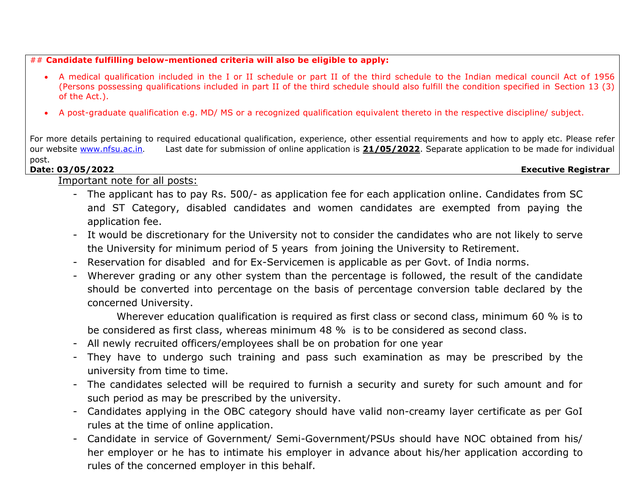#### ## **Candidate fulfilling below-mentioned criteria will also be eligible to apply:**

- A medical qualification included in the I or II schedule or part II of the third schedule to the Indian medical council Act of 1956 (Persons possessing qualifications included in part II of the third schedule should also fulfill the condition specified in Section 13 (3) of the Act.).
- A post-graduate qualification e.g. MD/ MS or a recognized qualification equivalent thereto in the respective discipline/ subject.

For more details pertaining to required educational qualification, experience, other essential requirements and how to apply etc. Please refer our website [www.nfsu.ac.in](http://www.nfsu.ac.in/). Last date for submission of online application is **21/05/2022**. Separate application to be made for individual post. **Date: 03/05/2022 Executive Registrar**

Important note for all posts:

- The applicant has to pay Rs. 500/- as application fee for each application online. Candidates from SC and ST Category, disabled candidates and women candidates are exempted from paying the application fee.
- It would be discretionary for the University not to consider the candidates who are not likely to serve the University for minimum period of 5 years from joining the University to Retirement.
- Reservation for disabled and for Ex-Servicemen is applicable as per Govt. of India norms.
- Wherever grading or any other system than the percentage is followed, the result of the candidate should be converted into percentage on the basis of percentage conversion table declared by the concerned University.

Wherever education qualification is required as first class or second class, minimum 60 % is to be considered as first class, whereas minimum 48 % is to be considered as second class.

- All newly recruited officers/employees shall be on probation for one year
- They have to undergo such training and pass such examination as may be prescribed by the university from time to time.
- The candidates selected will be required to furnish a security and surety for such amount and for such period as may be prescribed by the university.
- Candidates applying in the OBC category should have valid non-creamy layer certificate as per GoI rules at the time of online application.
- Candidate in service of Government/ Semi-Government/PSUs should have NOC obtained from his/ her employer or he has to intimate his employer in advance about his/her application according to rules of the concerned employer in this behalf.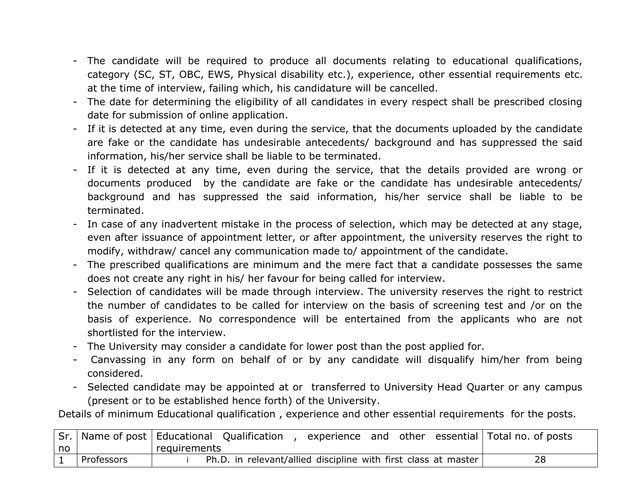- The candidate will be required to produce all documents relating to educational qualifications, category (SC, ST, OBC, EWS, Physical disability etc.), experience, other essential requirements etc. at the time of interview, failing which, his candidature will be cancelled.
- The date for determining the eligibility of all candidates in every respect shall be prescribed closing date for submission of online application.
- If it is detected at any time, even during the service, that the documents uploaded by the candidate are fake or the candidate has undesirable antecedents/ background and has suppressed the said information, his/her service shall be liable to be terminated.
- If it is detected at any time, even during the service, that the details provided are wrong or documents produced by the candidate are fake or the candidate has undesirable antecedents/ background and has suppressed the said information, his/her service shall be liable to be terminated.
- In case of any inadvertent mistake in the process of selection, which may be detected at any stage, even after issuance of appointment letter, or after appointment, the university reserves the right to modify, withdraw/ cancel any communication made to/ appointment of the candidate.
- The prescribed qualifications are minimum and the mere fact that a candidate possesses the same does not create any right in his/ her favour for being called for interview.
- Selection of candidates will be made through interview. The university reserves the right to restrict the number of candidates to be called for interview on the basis of screening test and /or on the basis of experience. No correspondence will be entertained from the applicants who are not shortlisted for the interview.
- The University may consider a candidate for lower post than the post applied for.
- Canvassing in any form on behalf of or by any candidate will disqualify him/her from being considered.
- Selected candidate may be appointed at or transferred to University Head Quarter or any campus (present or to be established hence forth) of the University.

Details of minimum Educational qualification , experience and other essential requirements for the posts.

|    | Sr.   Name of post   Educational Qualification |              |                                                                |  |  | experience and other essential Total no. of posts |
|----|------------------------------------------------|--------------|----------------------------------------------------------------|--|--|---------------------------------------------------|
| no |                                                | requirements |                                                                |  |  |                                                   |
|    | Professors                                     |              | Ph.D. in relevant/allied discipline with first class at master |  |  |                                                   |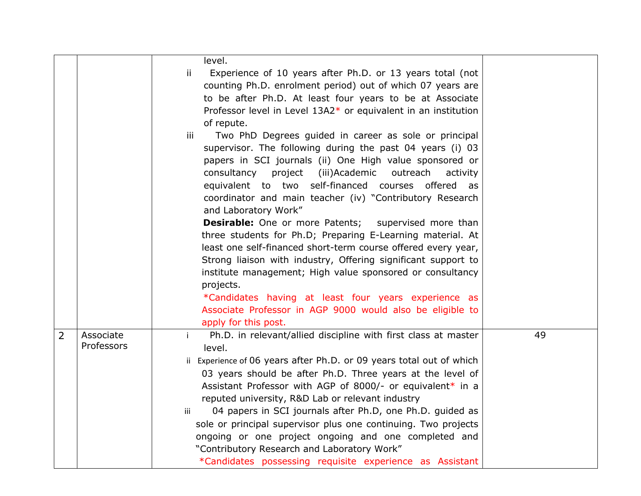|                |                         | level.<br>ij<br>Experience of 10 years after Ph.D. or 13 years total (not<br>counting Ph.D. enrolment period) out of which 07 years are<br>to be after Ph.D. At least four years to be at Associate<br>Professor level in Level 13A2* or equivalent in an institution<br>of repute.<br>Two PhD Degrees guided in career as sole or principal<br>iii<br>supervisor. The following during the past 04 years (i) 03<br>papers in SCI journals (ii) One High value sponsored or<br>consultancy<br>project<br>iii)Academic)<br>outreach<br>activity<br>equivalent to two self-financed courses offered as<br>coordinator and main teacher (iv) "Contributory Research<br>and Laboratory Work"<br><b>Desirable:</b> One or more Patents; supervised more than<br>three students for Ph.D; Preparing E-Learning material. At<br>least one self-financed short-term course offered every year,<br>Strong liaison with industry, Offering significant support to<br>institute management; High value sponsored or consultancy<br>projects.<br>*Candidates having at least four years experience as<br>Associate Professor in AGP 9000 would also be eligible to<br>apply for this post. |    |
|----------------|-------------------------|--------------------------------------------------------------------------------------------------------------------------------------------------------------------------------------------------------------------------------------------------------------------------------------------------------------------------------------------------------------------------------------------------------------------------------------------------------------------------------------------------------------------------------------------------------------------------------------------------------------------------------------------------------------------------------------------------------------------------------------------------------------------------------------------------------------------------------------------------------------------------------------------------------------------------------------------------------------------------------------------------------------------------------------------------------------------------------------------------------------------------------------------------------------------------------|----|
| $\overline{2}$ | Associate<br>Professors | Ph.D. in relevant/allied discipline with first class at master<br>$\mathbf{i}$<br>level.<br>ii Experience of 06 years after Ph.D. or 09 years total out of which<br>03 years should be after Ph.D. Three years at the level of<br>Assistant Professor with AGP of 8000/- or equivalent* in a<br>reputed university, R&D Lab or relevant industry<br>04 papers in SCI journals after Ph.D, one Ph.D. guided as<br>iii<br>sole or principal supervisor plus one continuing. Two projects<br>ongoing or one project ongoing and one completed and<br>"Contributory Research and Laboratory Work"<br>*Candidates possessing requisite experience as Assistant                                                                                                                                                                                                                                                                                                                                                                                                                                                                                                                      | 49 |